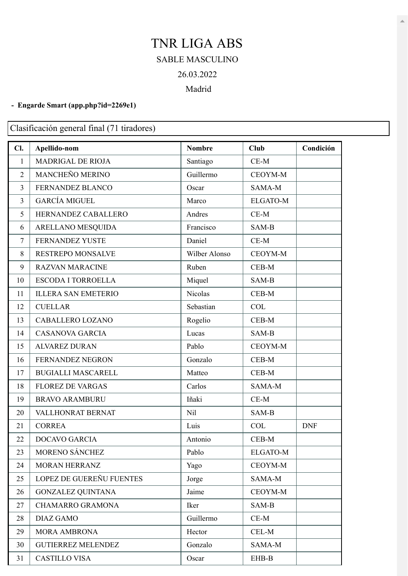## TNR LIGA ABS SABLE MASCULINO 26.03.2022 Madrid

## **- Engarde Smart [\(app.php?id=2269e1\)](https://engarde-service.com/app.php?id=2269e1)**

Clasificación general final (71 tiradores)

| Cl.            | Apellido-nom               | <b>Nombre</b> | <b>Club</b>     | Condición  |
|----------------|----------------------------|---------------|-----------------|------------|
| $\mathbf{1}$   | MADRIGAL DE RIOJA          | Santiago      | $CE-M$          |            |
| $\overline{2}$ | MANCHEÑO MERINO            | Guillermo     | CEOYM-M         |            |
| 3              | FERNANDEZ BLANCO           | Oscar         | SAMA-M          |            |
| $\overline{3}$ | <b>GARCÍA MIGUEL</b>       | Marco         | <b>ELGATO-M</b> |            |
| 5              | HERNANDEZ CABALLERO        | Andres        | $CE-M$          |            |
| 6              | ARELLANO MESQUIDA          | Francisco     | SAM-B           |            |
| $\overline{7}$ | FERNANDEZ YUSTE            | Daniel        | $CE-M$          |            |
| 8              | <b>RESTREPO MONSALVE</b>   | Wilber Alonso | CEOYM-M         |            |
| 9              | <b>RAZVAN MARACINE</b>     | Ruben         | CEB-M           |            |
| 10             | <b>ESCODA I TORROELLA</b>  | Miquel        | SAM-B           |            |
| 11             | <b>ILLERA SAN EMETERIO</b> | Nicolas       | CEB-M           |            |
| 12             | <b>CUELLAR</b>             | Sebastian     | <b>COL</b>      |            |
| 13             | CABALLERO LOZANO           | Rogelio       | $CEB-M$         |            |
| 14             | <b>CASANOVA GARCIA</b>     | Lucas         | SAM-B           |            |
| 15             | <b>ALVAREZ DURAN</b>       | Pablo         | CEOYM-M         |            |
| 16             | FERNANDEZ NEGRON           | Gonzalo       | $CEB-M$         |            |
| 17             | <b>BUGIALLI MASCARELL</b>  | Matteo        | $CEB-M$         |            |
| 18             | <b>FLOREZ DE VARGAS</b>    | Carlos        | SAMA-M          |            |
| 19             | <b>BRAVO ARAMBURU</b>      | Iñaki         | $CE-M$          |            |
| 20             | VALLHONRAT BERNAT          | Nil           | SAM-B           |            |
| 21             | <b>CORREA</b>              | Luis          | <b>COL</b>      | <b>DNF</b> |
| 22             | <b>DOCAVO GARCIA</b>       | Antonio       | CEB-M           |            |
| 23             | MORENO SÁNCHEZ             | Pablo         | <b>ELGATO-M</b> |            |
| 24             | <b>MORAN HERRANZ</b>       | Yago          | CEOYM-M         |            |
| 25             | LOPEZ DE GUEREÑU FUENTES   | Jorge         | SAMA-M          |            |
| 26             | <b>GONZALEZ QUINTANA</b>   | Jaime         | CEOYM-M         |            |
| 27             | <b>CHAMARRO GRAMONA</b>    | Iker          | SAM-B           |            |
| 28             | <b>DIAZ GAMO</b>           | Guillermo     | $CE-M$          |            |
| 29             | MORA AMBRONA               | Hector        | CEL-M           |            |
| 30             | <b>GUTIERREZ MELENDEZ</b>  | Gonzalo       | SAMA-M          |            |
| 31             | <b>CASTILLO VISA</b>       | Oscar         | EHB-B           |            |